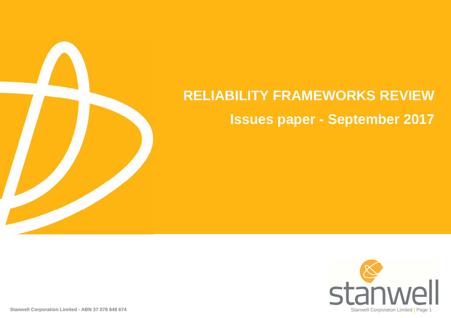# **RELIABILITY FRAMEWORKS REVIEWIssues paper - September 2017**

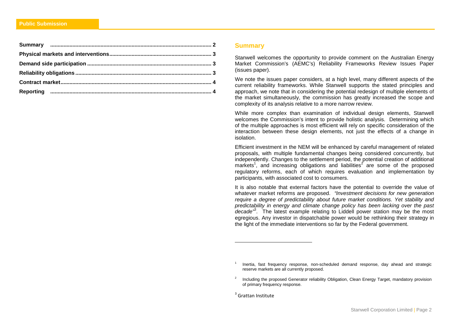#### **Summary**

Stanwell welcomes the opportunity to provide comment on the Australian Energy Market Commission's (AEMC's) Reliability Frameworks Review Issues Paper (issues paper).

We note the issues paper considers, at a high level, many different aspects of the current reliability frameworks. While Stanwell supports the stated principles and approach, we note that in considering the potential redesign of multiple elements of the market simultaneously, the commission has greatly increased the scope and complexity of its analysis relative to a more narrow review.

While more complex than examination of individual design elements, Stanwell welcomes the Commission's intent to provide holistic analysis. Determining which of the multiple approaches is most efficient will rely on specific consideration of the interaction between these design elements, not just the effects of a change in isolation.

Efficient investment in the NEM will be enhanced by careful management of related proposals, with multiple fundamental changes being considered concurrently, but independently. Changes to the settlement period, the potential creation of additional markets<sup>1</sup>, and increasing obligations and liabilities<sup>2</sup> are some of the proposed regulatory reforms, each of which requires evaluation and implementation by participants, with associated cost to consumers.

It is also notable that external factors have the potential to override the value of whatever market reforms are proposed. "Investment decisions for new generation require a degree of predictability about future market conditions. Yet stability and predictability in energy and climate change policy has been lacking over the past decade<sup>"3</sup>. The latest example relating to Liddell power station may be the most egregious. Any investor in dispatchable power would be rethinking their strategy in the light of the immediate interventions so far by the Federal government.

<sup>1</sup> Inertia, fast frequency response, non-scheduled demand response, day ahead and strategic reserve markets are all currently proposed.

<sup>2</sup> Including the proposed Generator reliability Obligation, Clean Energy Target, mandatory provision of primary frequency response.

<sup>&</sup>lt;sup>3</sup> Grattan Institute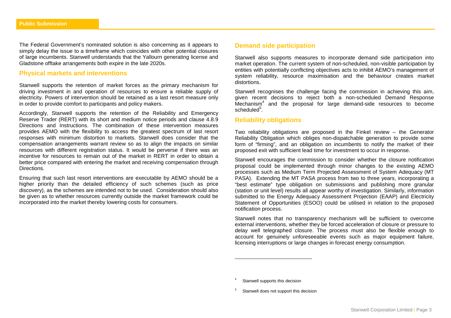The Federal Government's nominated solution is also concerning as it appears to simply delay the issue to a timeframe which coincides with other potential closures of large incumbents. Stanwell understands that the Yallourn generating license and Gladstone offtake arrangements both expire in the late 2020s.

## **Physical markets and interventions**

Stanwell supports the retention of market forces as the primary mechanism for driving investment in and operation of resources to ensure a reliable supply of electricity. Powers of intervention should be retained as a last resort measure only in order to provide comfort to participants and policy makers.

Accordingly, Stanwell supports the retention of the Reliability and Emergency Reserve Trader (RERT) with its short and medium notice periods and clause 4.8.9 Directions and Instructions. The combination of these intervention measures provides AEMO with the flexibility to access the greatest spectrum of last resort responses with minimum distortion to markets. Stanwell does consider that the compensation arrangements warrant review so as to align the impacts on similar resources with different registration status. It would be perverse if there was an incentive for resources to remain out of the market in RERT in order to obtain a better price compared with entering the market and receiving compensation through **Directions** 

Ensuring that such last resort interventions are executable by AEMO should be a higher priority than the detailed efficiency of such schemes (such as price discovery), as the schemes are intended not to be used. Consideration should also be given as to whether resources currently outside the market framework could be incorporated into the market thereby lowering costs for consumers.

## **Demand side participation**

Stanwell also supports measures to incorporate demand side participation into market operation. The current system of non-scheduled, non-visible participation by entities with potentially conflicting objectives acts to inhibit AEMO's management of system reliability, resource maximisation and the behaviour creates market distortions.

Stanwell recognises the challenge facing the commission in achieving this aim, given recent decisions to reject both a non-scheduled Demand Response Mechanism $4$  and the proposal for large demand-side resources to become scheduled<sup>5</sup>

#### **Reliability obligations**

Two reliability obligations are proposed in the Finkel review – the Generator Reliability Obligation which obliges non-dispatchable generation to provide some form of "firming", and an obligation on incumbents to notify the market of their proposed exit with sufficient lead time for investment to occur in response.

Stanwell encourages the commission to consider whether the closure notification proposal could be implemented through minor changes to the existing AEMO processes such as Medium Term Projected Assessment of System Adequacy (MT PASA). Extending the MT PASA process from two to three years, incorporating a "best estimate" type obligation on submissions and publishing more granular (station or unit level) results all appear worthy of investigation. Similarly, information submitted to the Energy Adequacy Assessment Projection (EAAP) and Electricity Statement of Opportunities (ESOO) could be utilised in relation to the proposed notification process.

Stanwell notes that no transparency mechanism will be sufficient to overcome external interventions, whether they be forced acceleration of closure or pressure to delay well telegraphed closure. The process must also be flexible enough to account for genuinely unforeseeable events such as major equipment failure, licensing interruptions or large changes in forecast energy consumption.

Stanwell supports this decision

<sup>5</sup> Stanwell does not support this decision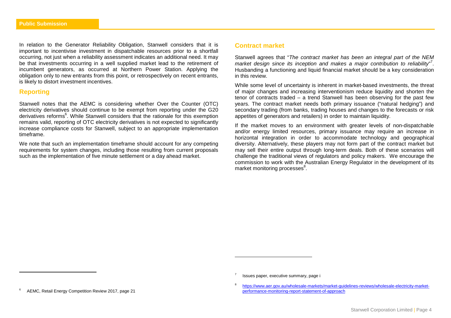In relation to the Generator Reliability Obligation, Stanwell considers that it is important to incentivise investment in dispatchable resources prior to a shortfall occurring, not just when a reliability assessment indicates an additional need. It may be that investments occurring in a well supplied market lead to the retirement of incumbent generators, as occurred at Northern Power Station. Applying the obligation only to new entrants from this point, or retrospectively on recent entrants, is likely to distort investment incentives.

## **Reporting**

Stanwell notes that the AEMC is considering whether Over the Counter (OTC) electricity derivatives should continue to be exempt from reporting under the G20 derivatives reforms<sup>6</sup>. While Stanwell considers that the rationale for this exemption remains valid, reporting of OTC electricity derivatives is not expected to significantly increase compliance costs for Stanwell, subject to an appropriate implementation timeframe.

We note that such an implementation timeframe should account for any competing requirements for system changes, including those resulting from current proposals such as the implementation of five minute settlement or a day ahead market.

### **Contract market**

Stanwell agrees that "The contract market has been an integral part of the NEM market design since its inception and makes a major contribution to reliability"<sup>7</sup>. Husbanding a functioning and liquid financial market should be a key consideration in this review.

While some level of uncertainty is inherent in market-based investments, the threat of major changes and increasing interventionism reduce liquidity and shorten the tenor of contracts traded – a trend Stanwell has been observing for the past few years. The contract market needs both primary issuance ("natural hedging") and secondary trading (from banks, trading houses and changes to the forecasts or risk appetites of generators and retailers) in order to maintain liquidity.

If the market moves to an environment with greater levels of non-dispatchable and/or energy limited resources, primary issuance may require an increase in horizontal integration in order to accommodate technology and geographical diversity. Alternatively, these players may not form part of the contract market but may sell their entire output through long-term deals. Both of these scenarios will challenge the traditional views of regulators and policy makers. We encourage the commission to work with the Australian Energy Regulator in the development of its market monitoring processes<sup>8</sup>.

8

Issues paper, executive summary, page i

https://www.aer.gov.au/wholesale-markets/market-guidelines-reviews/wholesale-electricity-marketperformance-monitoring-report-statement-of-approach

<sup>6</sup> AEMC, Retail Energy Competition Review 2017, page 21